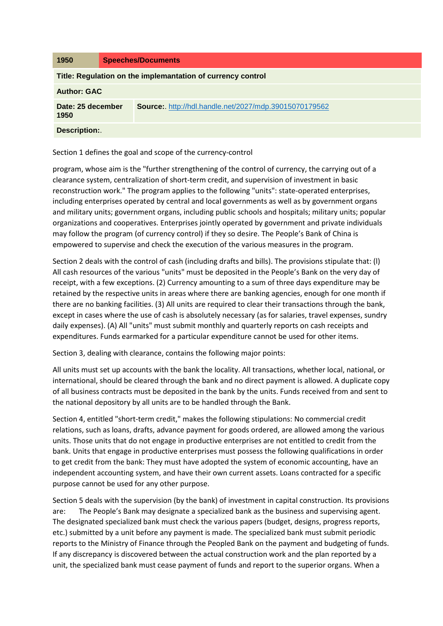| 1950                                                        | <b>Speeches/Documents</b>                                    |
|-------------------------------------------------------------|--------------------------------------------------------------|
| Title: Regulation on the implemantation of currency control |                                                              |
| <b>Author: GAC</b>                                          |                                                              |
| Date: 25 december<br>1950                                   | <b>Source:</b> http://hdl.handle.net/2027/mdp.39015070179562 |
| <b>Description:.</b>                                        |                                                              |

Section 1 defines the goal and scope of the currency-control

program, whose aim is the "further strengthening of the control of currency, the carrying out of a clearance system, centralization of short-term credit, and supervision of investment in basic reconstruction work." The program applies to the following "units": state-operated enterprises, including enterprises operated by central and local governments as well as by government organs and military units; government organs, including public schools and hospitals; military units; popular organizations and cooperatives. Enterprises jointly operated by government and private individuals may follow the program (of currency control) if they so desire. The People's Bank of China is empowered to supervise and check the execution of the various measures in the program.

Section 2 deals with the control of cash (including drafts and bills). The provisions stipulate that: (l) All cash resources of the various "units" must be deposited in the People's Bank on the very day of receipt, with a few exceptions. (2) Currency amounting to a sum of three days expenditure may be retained by the respective units in areas where there are banking agencies, enough for one month if there are no banking facilities. (3) All units are required to clear their transactions through the bank, except in cases where the use of cash is absolutely necessary (as for salaries, travel expenses, sundry daily expenses). (A) All "units" must submit monthly and quarterly reports on cash receipts and expenditures. Funds earmarked for a particular expenditure cannot be used for other items.

Section 3, dealing with clearance, contains the following major points:

All units must set up accounts with the bank the locality. All transactions, whether local, national, or international, should be cleared through the bank and no direct payment is allowed. A duplicate copy of all business contracts must be deposited in the bank by the units. Funds received from and sent to the national depository by all units are to be handled through the Bank.

Section 4, entitled "short-term credit," makes the following stipulations: No commercial credit relations, such as loans, drafts, advance payment for goods ordered, are allowed among the various units. Those units that do not engage in productive enterprises are not entitled to credit from the bank. Units that engage in productive enterprises must possess the following qualifications in order to get credit from the bank: They must have adopted the system of economic accounting, have an independent accounting system, and have their own current assets. Loans contracted for a specific purpose cannot be used for any other purpose.

Section 5 deals with the supervision (by the bank) of investment in capital construction. Its provisions are: The People's Bank may designate a specialized bank as the business and supervising agent. The designated specialized bank must check the various papers (budget, designs, progress reports, etc.) submitted by a unit before any payment is made. The specialized bank must submit periodic reports to the Ministry of Finance through the Peopled Bank on the payment and budgeting of funds. If any discrepancy is discovered between the actual construction work and the plan reported by a unit, the specialized bank must cease payment of funds and report to the superior organs. When a